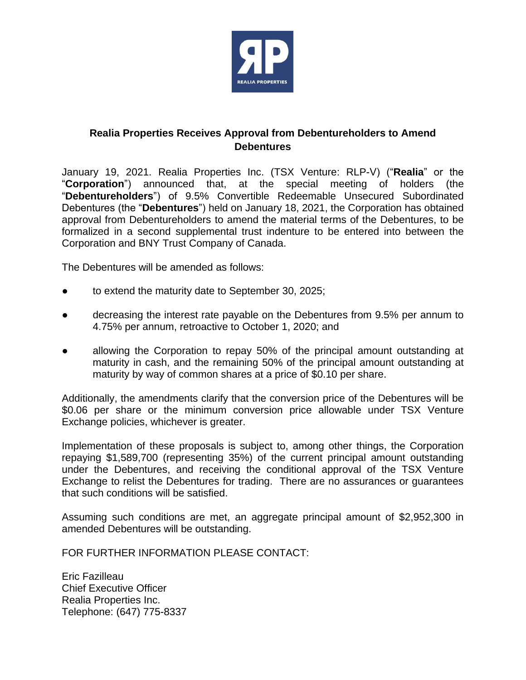

## **Realia Properties Receives Approval from Debentureholders to Amend Debentures**

January 19, 2021. Realia Properties Inc. (TSX Venture: RLP-V) ("**Realia**" or the "**Corporation**") announced that, at the special meeting of holders (the "**Debentureholders**") of 9.5% Convertible Redeemable Unsecured Subordinated Debentures (the "**Debentures**") held on January 18, 2021, the Corporation has obtained approval from Debentureholders to amend the material terms of the Debentures, to be formalized in a second supplemental trust indenture to be entered into between the Corporation and BNY Trust Company of Canada.

The Debentures will be amended as follows:

- to extend the maturity date to September 30, 2025;
- decreasing the interest rate payable on the Debentures from 9.5% per annum to 4.75% per annum, retroactive to October 1, 2020; and
- allowing the Corporation to repay 50% of the principal amount outstanding at maturity in cash, and the remaining 50% of the principal amount outstanding at maturity by way of common shares at a price of \$0.10 per share.

Additionally, the amendments clarify that the conversion price of the Debentures will be \$0.06 per share or the minimum conversion price allowable under TSX Venture Exchange policies, whichever is greater.

Implementation of these proposals is subject to, among other things, the Corporation repaying \$1,589,700 (representing 35%) of the current principal amount outstanding under the Debentures, and receiving the conditional approval of the TSX Venture Exchange to relist the Debentures for trading. There are no assurances or guarantees that such conditions will be satisfied.

Assuming such conditions are met, an aggregate principal amount of \$2,952,300 in amended Debentures will be outstanding.

FOR FURTHER INFORMATION PLEASE CONTACT:

Eric Fazilleau Chief Executive Officer Realia Properties Inc. Telephone: (647) 775-8337